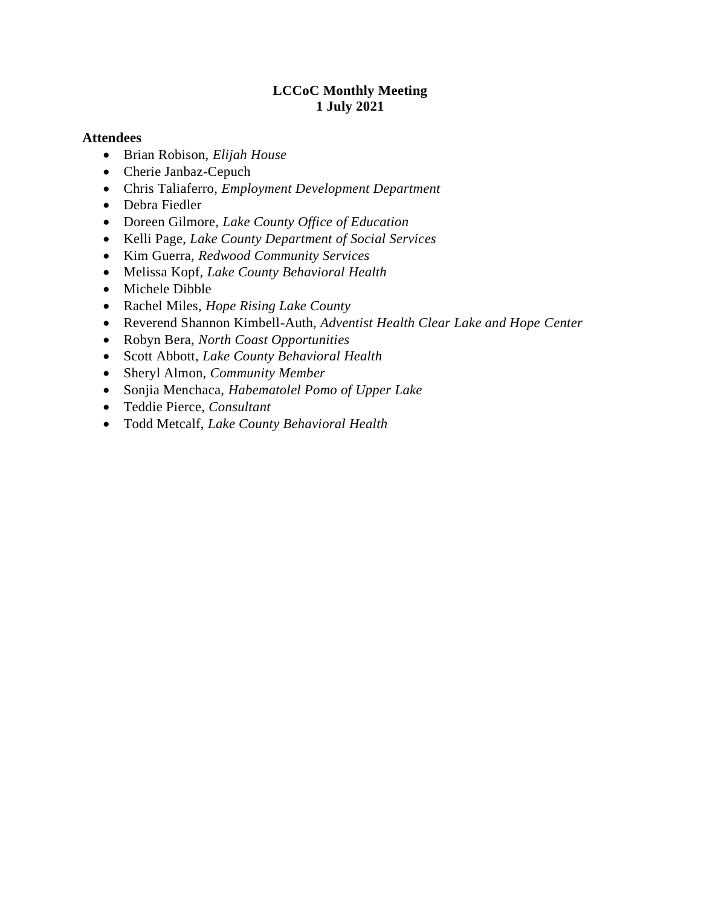#### **LCCoC Monthly Meeting 1 July 2021**

#### **Attendees**

- Brian Robison, *Elijah House*
- Cherie Janbaz-Cepuch
- Chris Taliaferro, *Employment Development Department*
- Debra Fiedler
- Doreen Gilmore, *Lake County Office of Education*
- Kelli Page, *Lake County Department of Social Services*
- Kim Guerra, *Redwood Community Services*
- Melissa Kopf, *Lake County Behavioral Health*
- Michele Dibble
- Rachel Miles, *Hope Rising Lake County*
- Reverend Shannon Kimbell-Auth, *Adventist Health Clear Lake and Hope Center*
- Robyn Bera, *North Coast Opportunities*
- Scott Abbott, *Lake County Behavioral Health*
- Sheryl Almon, *Community Member*
- Sonjia Menchaca, *Habematolel Pomo of Upper Lake*
- Teddie Pierce, *Consultant*
- Todd Metcalf, *Lake County Behavioral Health*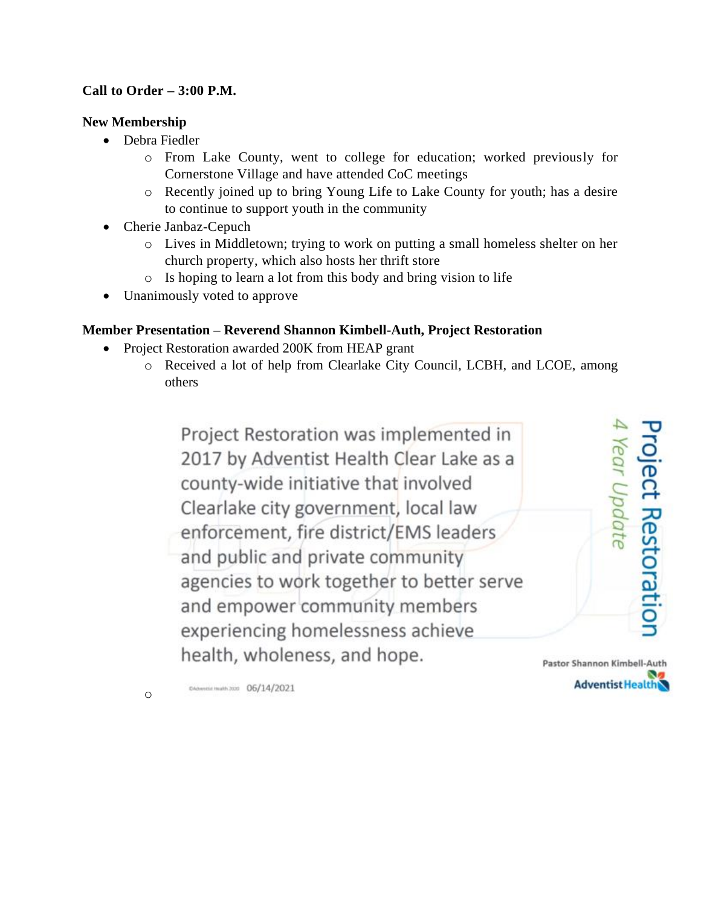# **Call to Order – 3:00 P.M.**

## **New Membership**

- Debra Fiedler
	- o From Lake County, went to college for education; worked previously for Cornerstone Village and have attended CoC meetings
	- o Recently joined up to bring Young Life to Lake County for youth; has a desire to continue to support youth in the community
- Cherie Janbaz-Cepuch
	- o Lives in Middletown; trying to work on putting a small homeless shelter on her church property, which also hosts her thrift store
	- o Is hoping to learn a lot from this body and bring vision to life
- Unanimously voted to approve

# **Member Presentation – Reverend Shannon Kimbell-Auth, Project Restoration**

- Project Restoration awarded 200K from HEAP grant
	- o Received a lot of help from Clearlake City Council, LCBH, and LCOE, among others

Project Restoration was implemented in 2017 by Adventist Health Clear Lake as a county-wide initiative that involved Clearlake city government, local law enforcement, fire district/EMS leaders and public and private community agencies to work together to better serve and empower community members experiencing homelessness achieve health, wholeness, and hope.

Pastor Shannon Kimbell-Auth **Adventist Health** 

**roject Restoration** 

Year Update

DAdvertist Health 2020 06/14/2021

o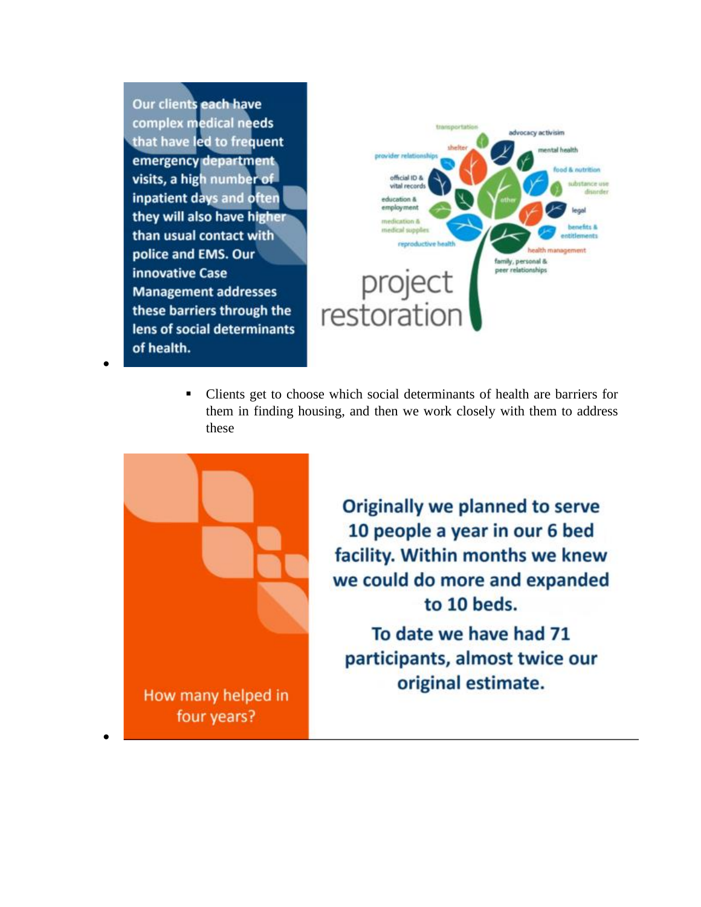Our clients each have complex medical needs that have led to frequent emergency department visits, a high number of inpatient days and often they will also have higher than usual contact with police and EMS. Our innovative Case **Management addresses** these barriers through the lens of social determinants of health.

•



Clients get to choose which social determinants of health are barriers for them in finding housing, and then we work closely with them to address these



**Originally we planned to serve** 10 people a year in our 6 bed facility. Within months we knew we could do more and expanded to 10 beds.

To date we have had 71 participants, almost twice our original estimate.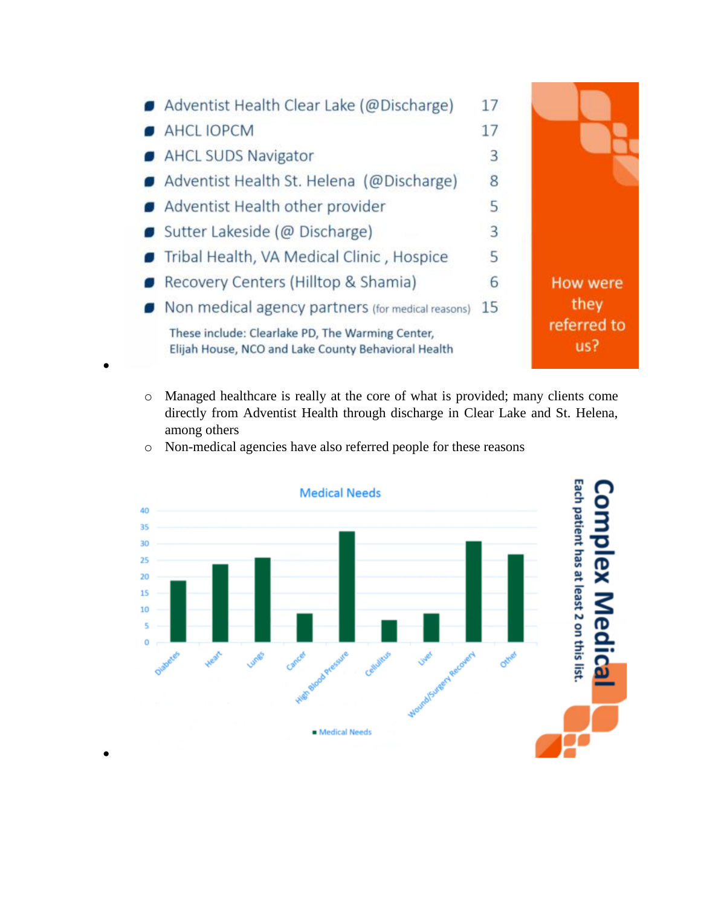

o Managed healthcare is really at the core of what is provided; many clients come directly from Adventist Health through discharge in Clear Lake and St. Helena, among others



o Non-medical agencies have also referred people for these reasons

•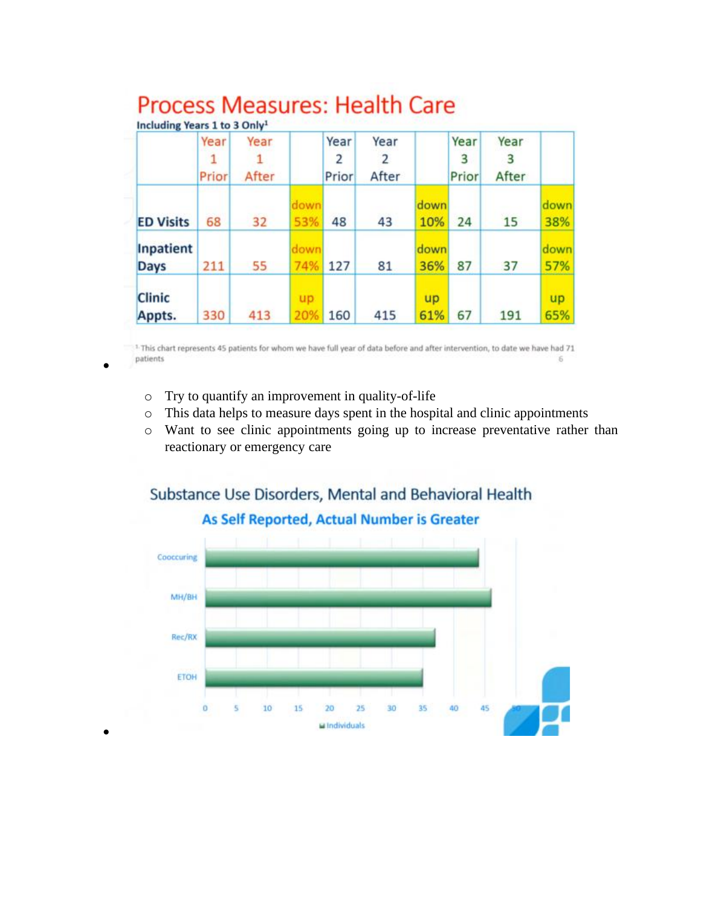|                          | Year<br>Prior | Year<br>After |             | Year<br>2<br>Prior | Year<br>2<br>After |             | Year<br>3<br>Prior | Year<br>3<br>After |             |
|--------------------------|---------------|---------------|-------------|--------------------|--------------------|-------------|--------------------|--------------------|-------------|
| <b>ED Visits</b>         | 68            | 32            | down<br>53% | 48                 | 43                 | down<br>10% | 24                 | 15                 | down<br>38% |
| Inpatient<br><b>Days</b> | 211           | 55            | down<br>74% | 127                | 81                 | down<br>36% | 87                 | 37                 | down<br>57% |
| <b>Clinic</b><br>Appts.  | 330           | 413           | up.<br>20%  | 160                | 415                | up<br>61%   | 67                 | 191                | up<br>65%   |

#### **Process Measures: Health Care**  $1 - 1 - 11 - 11$

<sup>1</sup> This chart represents 45 patients for whom we have full year of data before and after intervention, to date we have had 71 patients  $\overline{6}$ 

o Try to quantify an improvement in quality-of-life

•

•

- o This data helps to measure days spent in the hospital and clinic appointments
- o Want to see clinic appointments going up to increase preventative rather than reactionary or emergency care



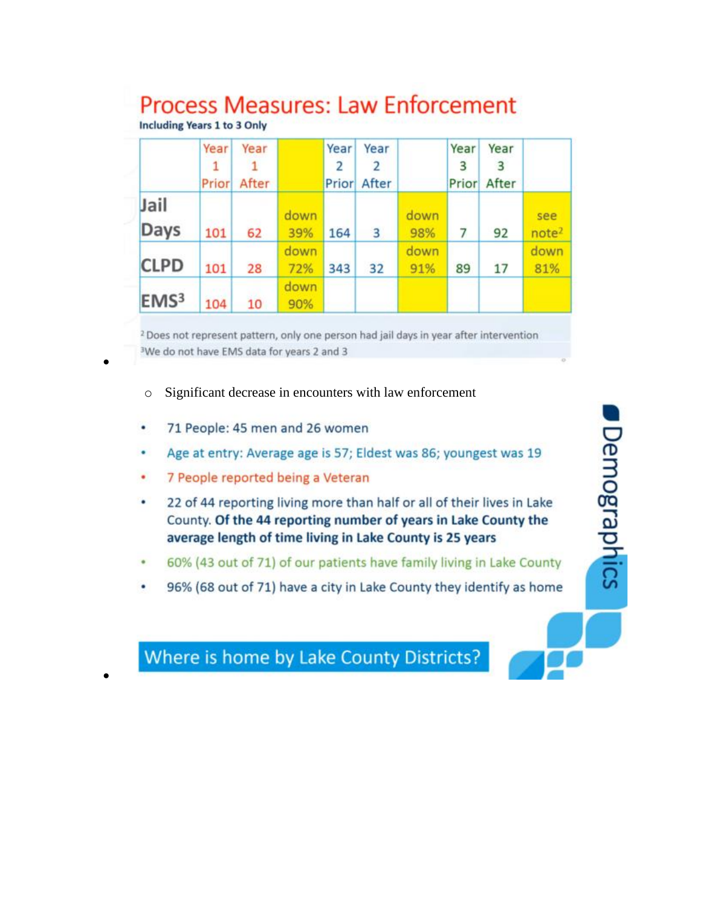# **Process Measures: Law Enforcement**

**Including Years 1 to 3 Only** 

|                     | Year<br>1<br>Prior | Year<br>After |             | Year | Year<br>2<br><b>Prior</b> After |             | Year<br>3 | Year<br>3<br>Prior After |                          |
|---------------------|--------------------|---------------|-------------|------|---------------------------------|-------------|-----------|--------------------------|--------------------------|
| Jail<br><b>Days</b> | 101                | 62            | down<br>39% | 164  | 3                               | down<br>98% | 7         | 92                       | see<br>note <sup>2</sup> |
| <b>CLPD</b>         | 101                | 28            | down<br>72% | 343  | 32                              | down<br>91% | 89        | 17                       | down<br>81%              |
| EMS <sup>3</sup>    | 104                | 10            | down<br>90% |      |                                 |             |           |                          |                          |

<sup>2</sup> Does not represent pattern, only one person had jail days in year after intervention <sup>3</sup>We do not have EMS data for years 2 and 3

- Significant decrease in encounters with law enforcement  $\circ$
- 71 People: 45 men and 26 women ٠
- Age at entry: Average age is 57; Eldest was 86; youngest was 19 ٠
- ٠ 7 People reported being a Veteran
- ٠ 22 of 44 reporting living more than half or all of their lives in Lake County. Of the 44 reporting number of years in Lake County the average length of time living in Lake County is 25 years

**Demographics** 

- 60% (43 out of 71) of our patients have family living in Lake County ٠
- 96% (68 out of 71) have a city in Lake County they identify as home ٠

Where is home by Lake County Districts?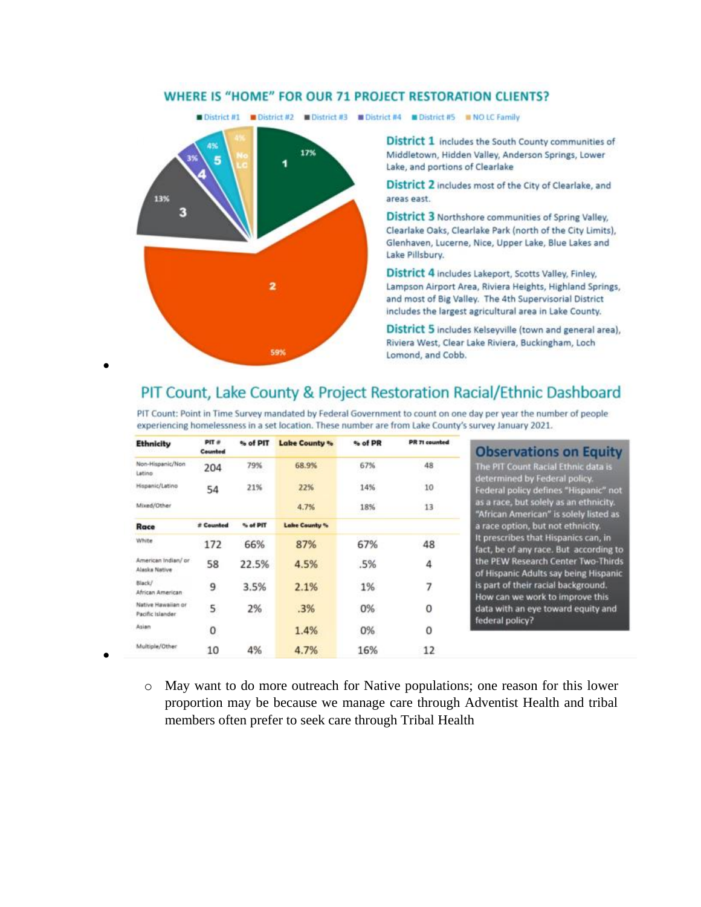#### **WHERE IS "HOME" FOR OUR 71 PROJECT RESTORATION CLIENTS?**



13%

з

District 1 includes the South County communities of Middletown, Hidden Valley, Anderson Springs, Lower Lake, and portions of Clearlake

District 2 includes most of the City of Clearlake, and areas east.

District 3 Northshore communities of Spring Valley, Clearlake Oaks, Clearlake Park (north of the City Limits), Glenhaven, Lucerne, Nice, Upper Lake, Blue Lakes and Lake Pillsbury.

District 4 includes Lakeport, Scotts Valley, Finley, Lampson Airport Area, Riviera Heights, Highland Springs, and most of Big Valley. The 4th Supervisorial District includes the largest agricultural area in Lake County.

District 5 includes Kelseyville (town and general area), Riviera West, Clear Lake Riviera, Buckingham, Loch Lomond, and Cobb.

# PIT Count, Lake County & Project Restoration Racial/Ethnic Dashboard

PIT Count: Point in Time Survey mandated by Federal Government to count on one day per year the number of people experiencing homelessness in a set location. These number are from Lake County's survey January 2021.

| <b>Ethnicity</b>                       | PIT #<br>Counted | % of PIT | <b>Lake County %</b> | % of PR | <b>PR 71 counted</b> |
|----------------------------------------|------------------|----------|----------------------|---------|----------------------|
| Non-Hispanic/Non<br>Latino             | 204              | 79%      | 68.9%                | 67%     | 48                   |
| Hispanic/Latino                        | 54               | 21%      | 22%                  | 14%     | 10                   |
| Mixed/Other                            |                  |          | 4.7%                 | 18%     | 13                   |
| Race                                   | # Counted        | % of PIT | <b>Lake County %</b> |         |                      |
| White                                  | 172              | 66%      | 87%                  | 67%     | 48                   |
| American Indian/ or<br>Alaska Native   | 58               | 22.5%    | 4.5%                 | .5%     | 4                    |
| Black/<br>African American             | 9                | 3.5%     | 2.1%                 | 1%      | 7                    |
| Native Hawaiian or<br>Pacific Islander | 5                | 2%       | .3%                  | 0%      | 0                    |
| Asian                                  | 0                |          | 1.4%                 | 0%      | $\mathbf 0$          |
| Multiple/Other                         | 10               | 4%       | 4.7%                 | 16%     | 12                   |

599

**bservations on Equity** PIT Count Racial Ethnic data is ermined by Federal policy. eral policy defines "Hispanic" not i race, but solely as an ethnicity.<br>rican American'' is solely listed as ce option, but not ethnicity. rescribes that Hispanics can, in , be of any race. But according to PEW Research Center Two-Thirds Hispanic Adults say being Hispanic art of their racial background. v can we work to improve this a with an eye toward equity and eral policy?

o May want to do more outreach for Native populations; one reason for this lower proportion may be because we manage care through Adventist Health and tribal members often prefer to seek care through Tribal Health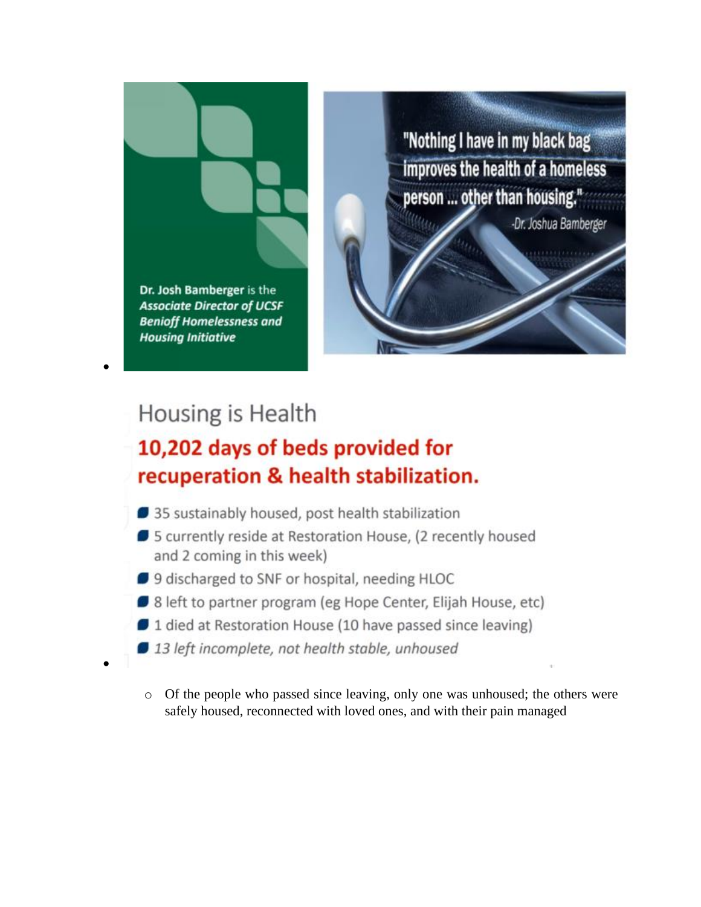

"Nothing I have in my black bag improves the health of a homeless person ... other than housing."

-Dr. Joshua Bamberger

# Housing is Health

# 10,202 days of beds provided for recuperation & health stabilization.

- 35 sustainably housed, post health stabilization
- 5 currently reside at Restoration House, (2 recently housed and 2 coming in this week)
- 9 discharged to SNF or hospital, needing HLOC
- 8 left to partner program (eg Hope Center, Elijah House, etc)
- 1 died at Restoration House (10 have passed since leaving)
- 13 left incomplete, not health stable, unhoused
- o Of the people who passed since leaving, only one was unhoused; the others were safely housed, reconnected with loved ones, and with their pain managed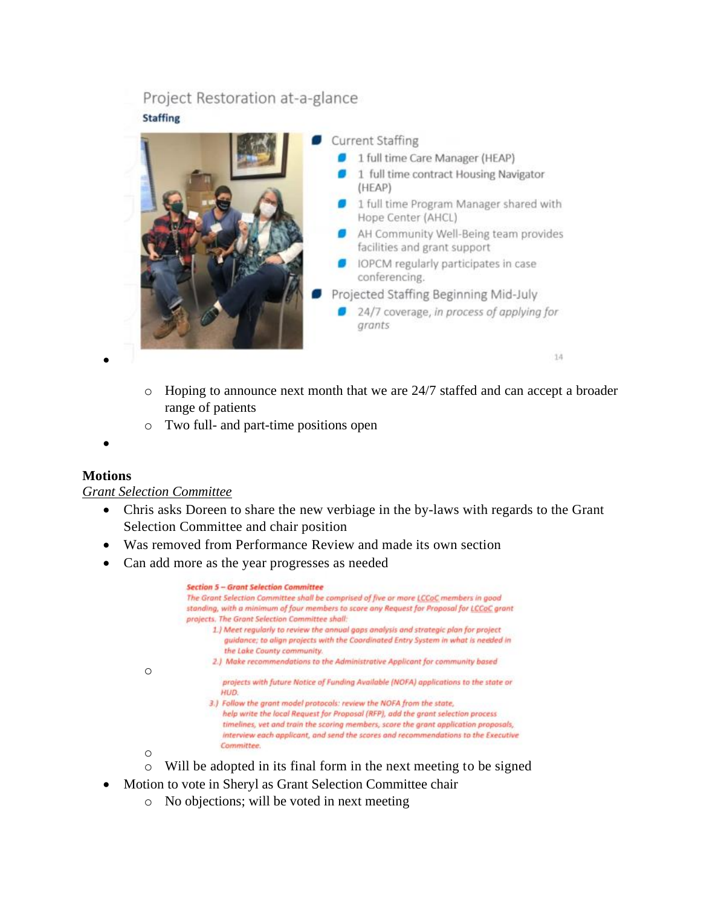# Project Restoration at-a-glance **Staffing**



- o Hoping to announce next month that we are 24/7 staffed and can accept a broader range of patients
- o Two full- and part-time positions open
- •

•

#### **Motions**

#### *Grant Selection Committee*

o

o

- Chris asks Doreen to share the new verbiage in the by-laws with regards to the Grant Selection Committee and chair position
- Was removed from Performance Review and made its own section
- Can add more as the year progresses as needed



- o Will be adopted in its final form in the next meeting to be signed
- Motion to vote in Sheryl as Grant Selection Committee chair
	- o No objections; will be voted in next meeting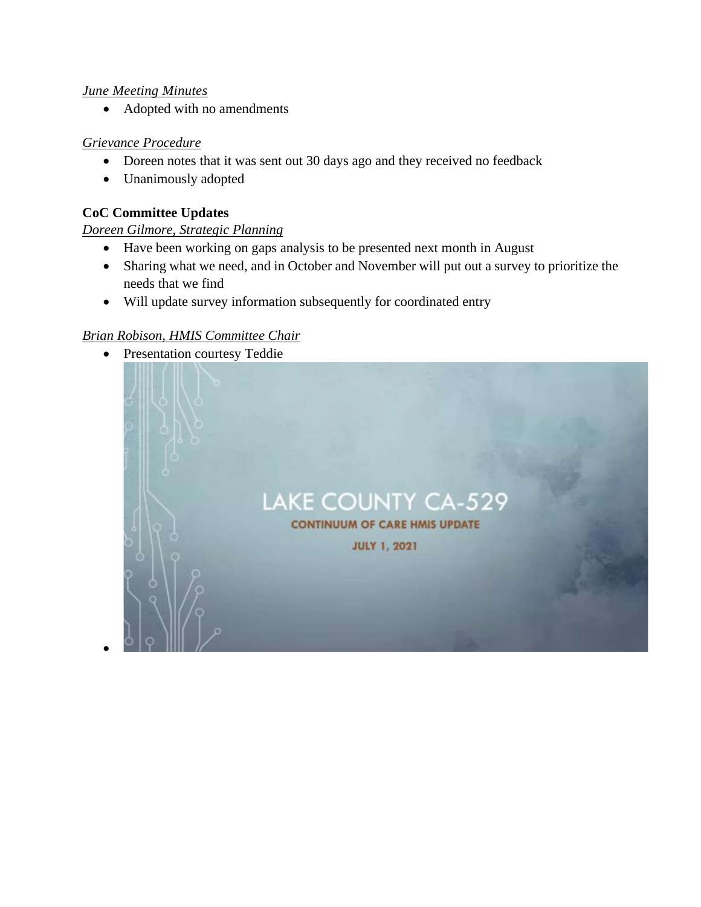#### *June Meeting Minutes*

• Adopted with no amendments

#### *Grievance Procedure*

- Doreen notes that it was sent out 30 days ago and they received no feedback
- Unanimously adopted

### **CoC Committee Updates**

•

# *Doreen Gilmore, Strategic Planning*

- Have been working on gaps analysis to be presented next month in August
- Sharing what we need, and in October and November will put out a survey to prioritize the needs that we find
- Will update survey information subsequently for coordinated entry

### *Brian Robison, HMIS Committee Chair*

• Presentation courtesy Teddie

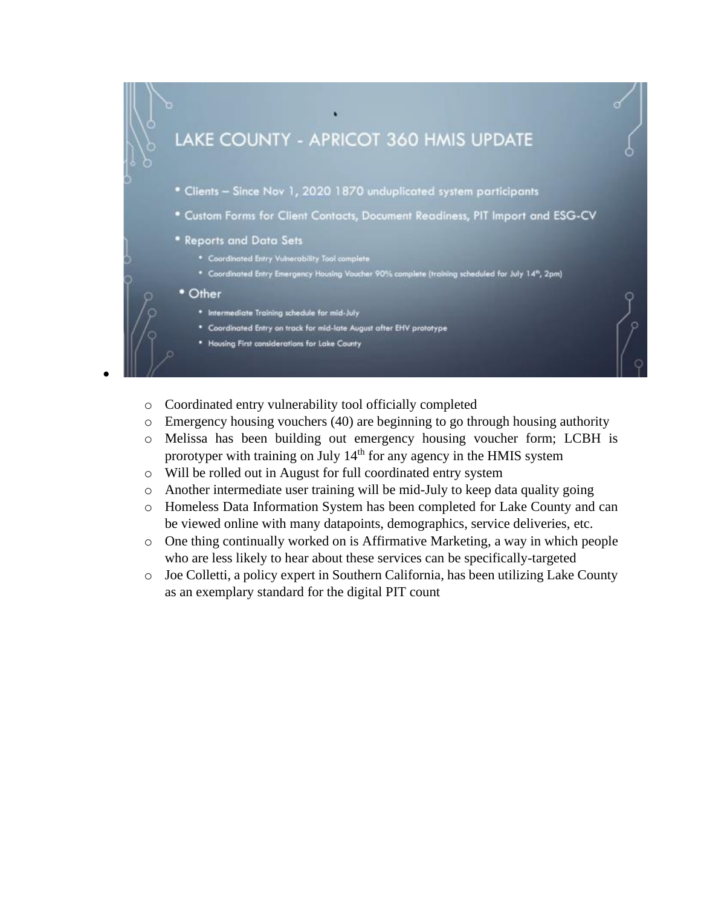

- o Coordinated entry vulnerability tool officially completed
- o Emergency housing vouchers (40) are beginning to go through housing authority
- o Melissa has been building out emergency housing voucher form; LCBH is prorotyper with training on July 14<sup>th</sup> for any agency in the HMIS system
- o Will be rolled out in August for full coordinated entry system
- o Another intermediate user training will be mid-July to keep data quality going
- o Homeless Data Information System has been completed for Lake County and can be viewed online with many datapoints, demographics, service deliveries, etc.
- o One thing continually worked on is Affirmative Marketing, a way in which people who are less likely to hear about these services can be specifically-targeted
- o Joe Colletti, a policy expert in Southern California, has been utilizing Lake County as an exemplary standard for the digital PIT count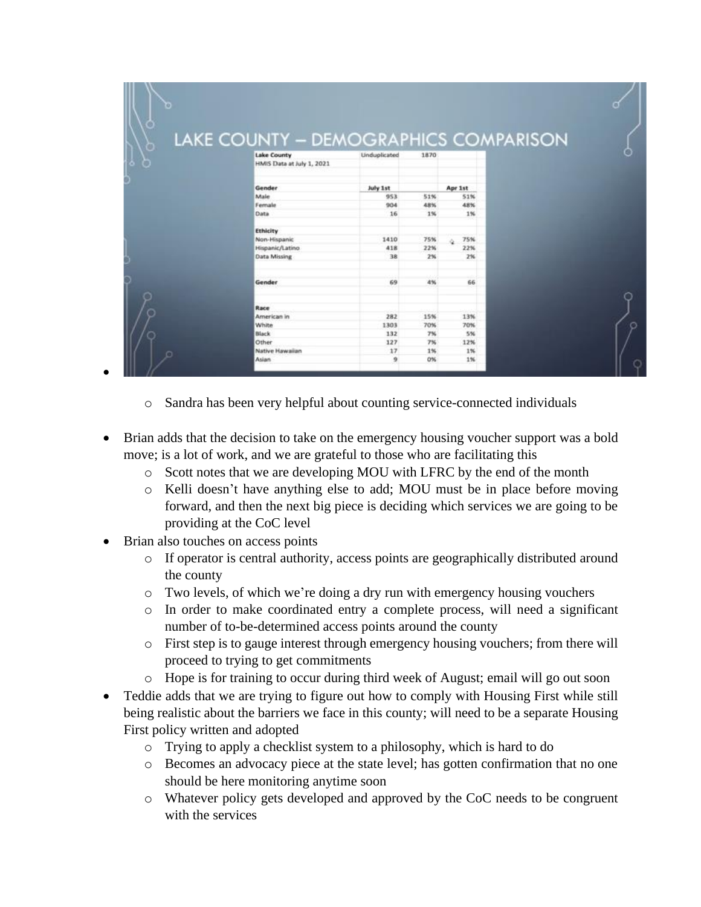|   | LAKE COUNTY - DEMOGRAPHICS COMPARISON |              |      |           |  |
|---|---------------------------------------|--------------|------|-----------|--|
| p | <b>Lake County</b>                    | Unduplicated | 1870 |           |  |
|   | HMIS Data at July 1, 2021             |              |      |           |  |
|   |                                       |              |      |           |  |
|   | Gender                                | July 1st     |      | Apr 1st   |  |
|   | Male                                  | 953          | 51%  | 51%       |  |
|   | Female                                | 904          | 48%  | 48%       |  |
|   | Data                                  | 16           | 1%   | 1%        |  |
|   | Ethicity                              |              |      |           |  |
|   | Non-Hispanic                          | 1410         | 75%  | 75%<br>ó. |  |
|   | Hispanic/Latino                       | 418          | 22%  | 22%       |  |
|   | Data Missing                          | 38           | 2%   | 2%        |  |
|   | Gender                                | 69           | 4%   | 66        |  |
|   |                                       |              |      |           |  |
|   | Race                                  |              |      |           |  |
|   | American in                           | 282          | 15%  | 13%       |  |
|   | White                                 | 1303         | 70%  | 70%       |  |
|   | Black                                 | 132          | 7%   | 5%        |  |
|   | Other                                 | 127          | 7%   | 12%       |  |
|   |                                       |              |      |           |  |

- o Sandra has been very helpful about counting service-connected individuals
- Brian adds that the decision to take on the emergency housing voucher support was a bold move; is a lot of work, and we are grateful to those who are facilitating this
	- o Scott notes that we are developing MOU with LFRC by the end of the month
	- o Kelli doesn't have anything else to add; MOU must be in place before moving forward, and then the next big piece is deciding which services we are going to be providing at the CoC level
- Brian also touches on access points

•

- o If operator is central authority, access points are geographically distributed around the county
- $\circ$  Two levels, of which we're doing a dry run with emergency housing vouchers
- o In order to make coordinated entry a complete process, will need a significant number of to-be-determined access points around the county
- o First step is to gauge interest through emergency housing vouchers; from there will proceed to trying to get commitments
- o Hope is for training to occur during third week of August; email will go out soon
- Teddie adds that we are trying to figure out how to comply with Housing First while still being realistic about the barriers we face in this county; will need to be a separate Housing First policy written and adopted
	- o Trying to apply a checklist system to a philosophy, which is hard to do
	- o Becomes an advocacy piece at the state level; has gotten confirmation that no one should be here monitoring anytime soon
	- o Whatever policy gets developed and approved by the CoC needs to be congruent with the services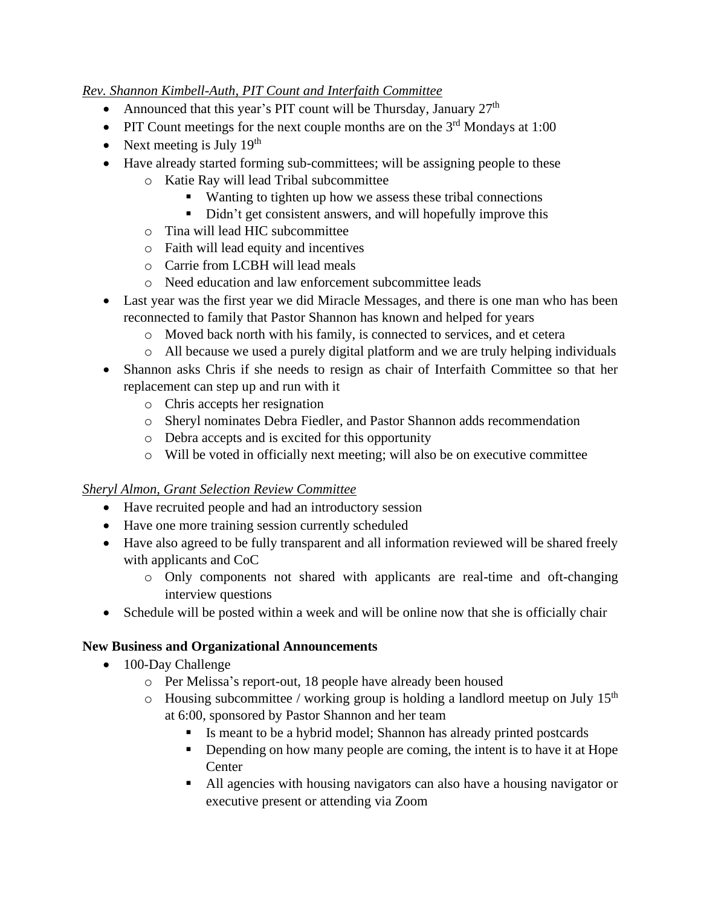### *Rev. Shannon Kimbell-Auth, PIT Count and Interfaith Committee*

- Announced that this year's PIT count will be Thursday, January  $27<sup>th</sup>$
- PIT Count meetings for the next couple months are on the  $3<sup>rd</sup>$  Mondays at 1:00
- Next meeting is July  $19<sup>th</sup>$
- Have already started forming sub-committees; will be assigning people to these
	- o Katie Ray will lead Tribal subcommittee
		- Wanting to tighten up how we assess these tribal connections
		- Didn't get consistent answers, and will hopefully improve this
		- o Tina will lead HIC subcommittee
		- o Faith will lead equity and incentives
		- o Carrie from LCBH will lead meals
		- o Need education and law enforcement subcommittee leads
- Last year was the first year we did Miracle Messages, and there is one man who has been reconnected to family that Pastor Shannon has known and helped for years
	- o Moved back north with his family, is connected to services, and et cetera
	- o All because we used a purely digital platform and we are truly helping individuals
- Shannon asks Chris if she needs to resign as chair of Interfaith Committee so that her replacement can step up and run with it
	- o Chris accepts her resignation
	- o Sheryl nominates Debra Fiedler, and Pastor Shannon adds recommendation
	- o Debra accepts and is excited for this opportunity
	- o Will be voted in officially next meeting; will also be on executive committee

#### *Sheryl Almon, Grant Selection Review Committee*

- Have recruited people and had an introductory session
- Have one more training session currently scheduled
- Have also agreed to be fully transparent and all information reviewed will be shared freely with applicants and CoC
	- o Only components not shared with applicants are real-time and oft-changing interview questions
- Schedule will be posted within a week and will be online now that she is officially chair

# **New Business and Organizational Announcements**

- 100-Day Challenge
	- o Per Melissa's report-out, 18 people have already been housed
	- $\circ$  Housing subcommittee / working group is holding a landlord meetup on July 15<sup>th</sup> at 6:00, sponsored by Pastor Shannon and her team
		- Is meant to be a hybrid model; Shannon has already printed postcards
		- **•** Depending on how many people are coming, the intent is to have it at Hope **Center**
		- All agencies with housing navigators can also have a housing navigator or executive present or attending via Zoom